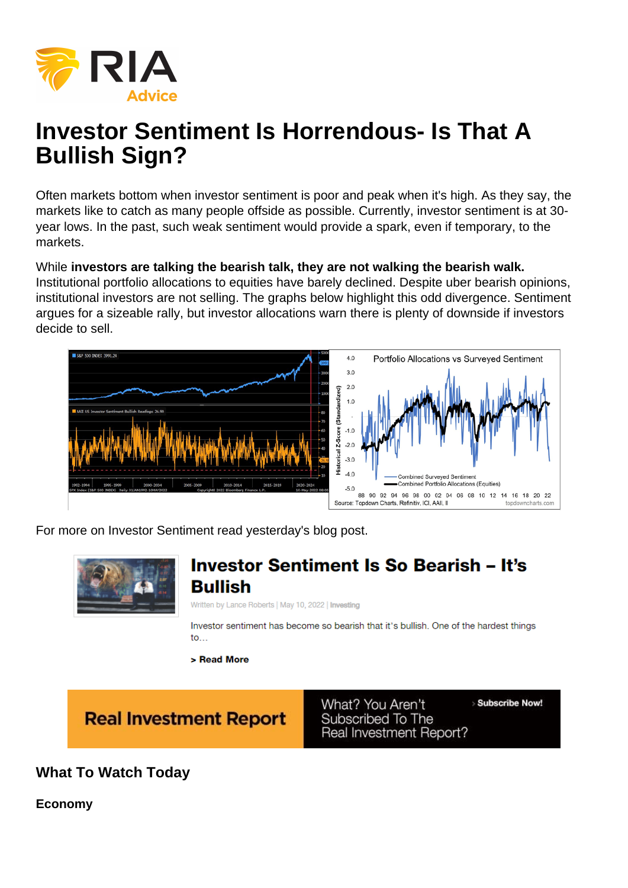# Investor Sentiment Is Horrendous- Is That A Bullish Sign?

Often markets bottom when investor sentiment is poor and peak when it's high. As they say, the markets like to catch as many people offside as possible. Currently, investor sentiment is at 30 year lows. In the past, such weak sentiment would provide a spark, even if temporary, to the markets.

While investors are talking the bearish talk, they are not walking the bearish walk. Institutional portfolio allocations to equities have barely declined. Despite uber bearish opinions, institutional investors are not selling. The graphs below highlight this odd divergence. Sentiment argues for a sizeable rally, but investor allocations warn there is plenty of downside if investors decide to sell.

For more on Investor Sentiment read yesterday's blog post.

What To Watch Today

Economy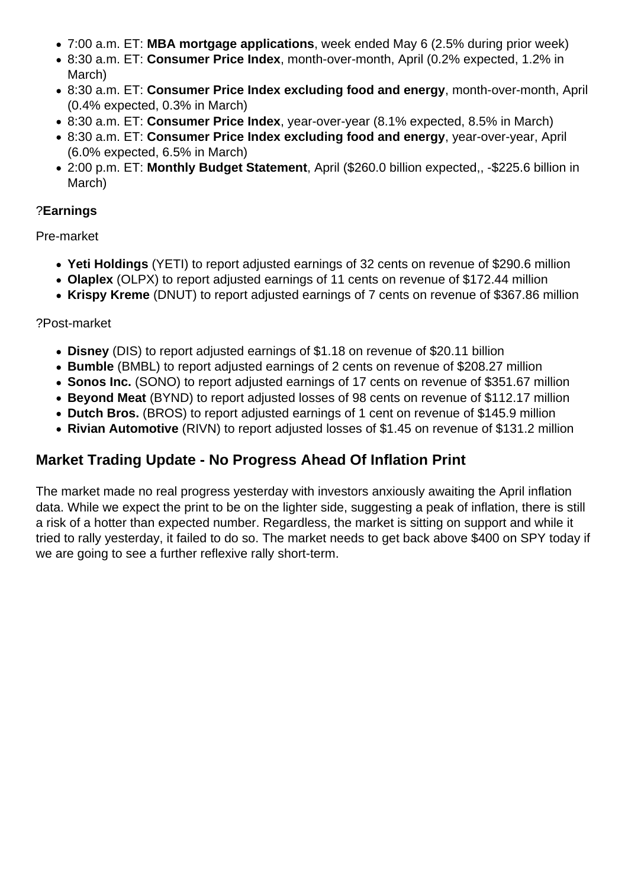- 7:00 a.m. ET: **MBA mortgage applications**, week ended May 6 (2.5% during prior week)
- 8:30 a.m. ET: **Consumer Price Index**, month-over-month, April (0.2% expected, 1.2% in March)
- 8:30 a.m. ET: **Consumer Price Index excluding food and energy**, month-over-month, April (0.4% expected, 0.3% in March)
- 8:30 a.m. ET: **Consumer Price Index**, year-over-year (8.1% expected, 8.5% in March)
- 8:30 a.m. ET: **Consumer Price Index excluding food and energy**, year-over-year, April (6.0% expected, 6.5% in March)
- 2:00 p.m. ET: **Monthly Budget Statement**, April (\$260.0 billion expected,, -\$225.6 billion in March)

#### ?**Earnings**

Pre-market

- **Yeti Holdings** (YETI) to report adjusted earnings of 32 cents on revenue of \$290.6 million
- **Olaplex** (OLPX) to report adjusted earnings of 11 cents on revenue of \$172.44 million
- **Krispy Kreme** (DNUT) to report adjusted earnings of 7 cents on revenue of \$367.86 million

#### ?Post-market

- **Disney** (DIS) to report adjusted earnings of \$1.18 on revenue of \$20.11 billion
- **Bumble** (BMBL) to report adjusted earnings of 2 cents on revenue of \$208.27 million
- **Sonos Inc.** (SONO) to report adjusted earnings of 17 cents on revenue of \$351.67 million
- **Beyond Meat** (BYND) to report adjusted losses of 98 cents on revenue of \$112.17 million
- **Dutch Bros.** (BROS) to report adjusted earnings of 1 cent on revenue of \$145.9 million
- **Rivian Automotive** (RIVN) to report adjusted losses of \$1.45 on revenue of \$131.2 million

# **Market Trading Update - No Progress Ahead Of Inflation Print**

The market made no real progress yesterday with investors anxiously awaiting the April inflation data. While we expect the print to be on the lighter side, suggesting a peak of inflation, there is still a risk of a hotter than expected number. Regardless, the market is sitting on support and while it tried to rally yesterday, it failed to do so. The market needs to get back above \$400 on SPY today if we are going to see a further reflexive rally short-term.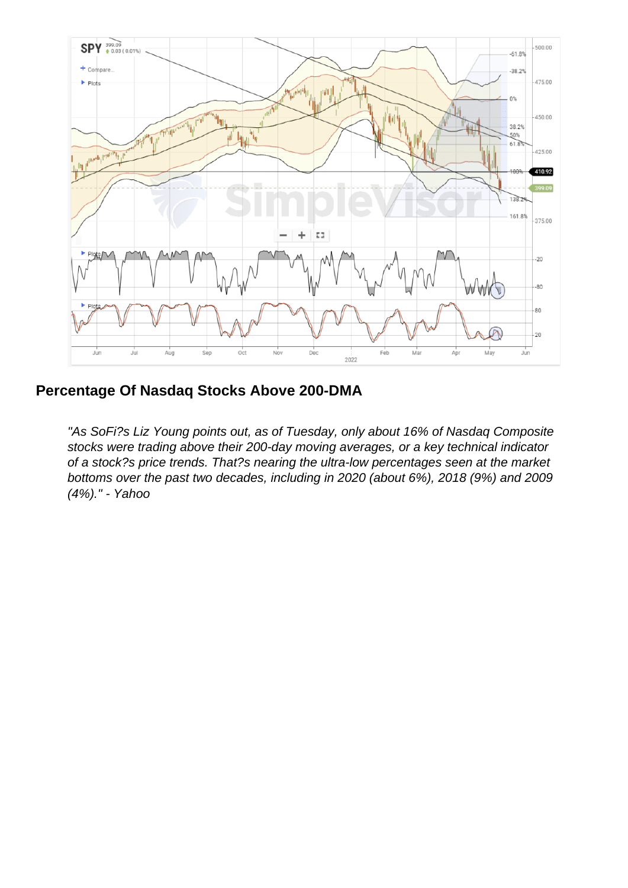Percentage Of Nasdaq Stocks Above 200-DMA

"As SoFi?s Liz Young points out, as of Tuesday, only about 16% of Nasdaq Composite stocks were trading above their 200-day moving averages, or a key technical indicator of a stock?s price trends. That?s nearing the ultra-low percentages seen at the market bottoms over the past two decades, including in 2020 (about 6%), 2018 (9%) and 2009 (4%)." - Yahoo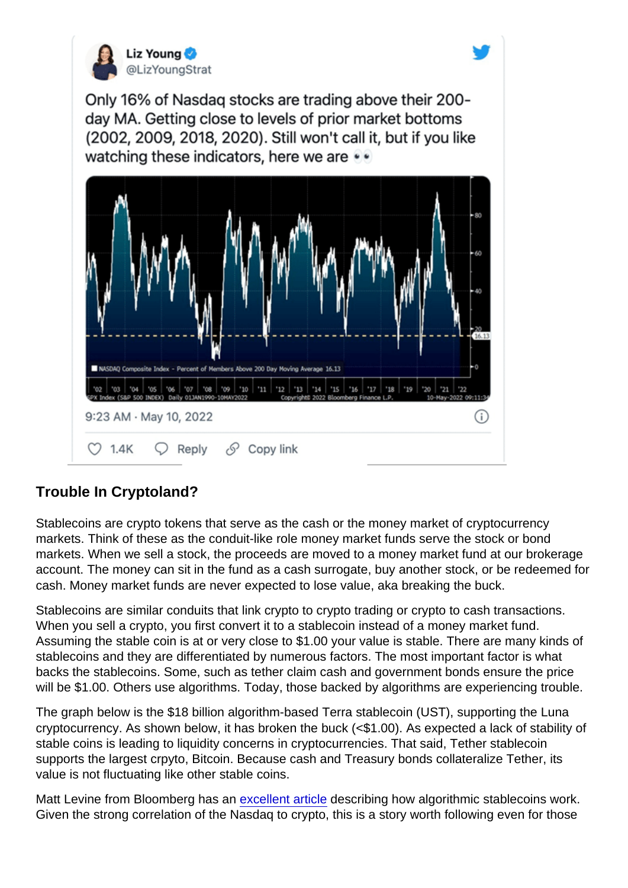## Trouble In Cryptoland?

Stablecoins are crypto tokens that serve as the cash or the money market of cryptocurrency markets. Think of these as the conduit-like role money market funds serve the stock or bond markets. When we sell a stock, the proceeds are moved to a money market fund at our brokerage account. The money can sit in the fund as a cash surrogate, buy another stock, or be redeemed for cash. Money market funds are never expected to lose value, aka breaking the buck.

Stablecoins are similar conduits that link crypto to crypto trading or crypto to cash transactions. When you sell a crypto, you first convert it to a stablecoin instead of a money market fund. Assuming the stable coin is at or very close to \$1.00 your value is stable. There are many kinds of stablecoins and they are differentiated by numerous factors. The most important factor is what backs the stablecoins. Some, such as tether claim cash and government bonds ensure the price will be \$1.00. Others use algorithms. Today, those backed by algorithms are experiencing trouble.

The graph below is the \$18 billion algorithm-based Terra stablecoin (UST), supporting the Luna cryptocurrency. As shown below, it has broken the buck (<\$1.00). As expected a lack of stability of stable coins is leading to liquidity concerns in cryptocurrencies. That said, Tether stablecoin supports the largest crpyto, Bitcoin. Because cash and Treasury bonds collateralize Tether, its value is not fluctuating like other stable coins.

Matt Levine from Bloomberg has an [excellent article](https://www.bloomberg.com/opinion/articles/2022-04-19/the-stability-of-algorithmic-stablecoins) describing how algorithmic stablecoins work. Given the strong correlation of the Nasdaq to crypto, this is a story worth following even for those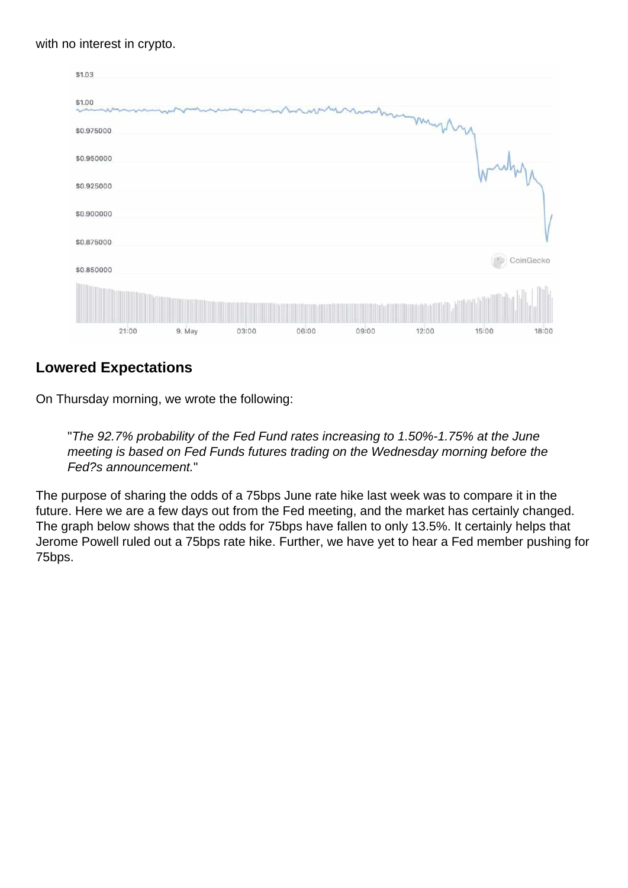with no interest in crypto.

## Lowered Expectations

On Thursday morning, we wrote the following:

"The 92.7% probability of the Fed Fund rates increasing to 1.50%-1.75% at the June meeting is based on Fed Funds futures trading on the Wednesday morning before the Fed?s announcement."

The purpose of sharing the odds of a 75bps June rate hike last week was to compare it in the future. Here we are a few days out from the Fed meeting, and the market has certainly changed. The graph below shows that the odds for 75bps have fallen to only 13.5%. It certainly helps that Jerome Powell ruled out a 75bps rate hike. Further, we have yet to hear a Fed member pushing for 75bps.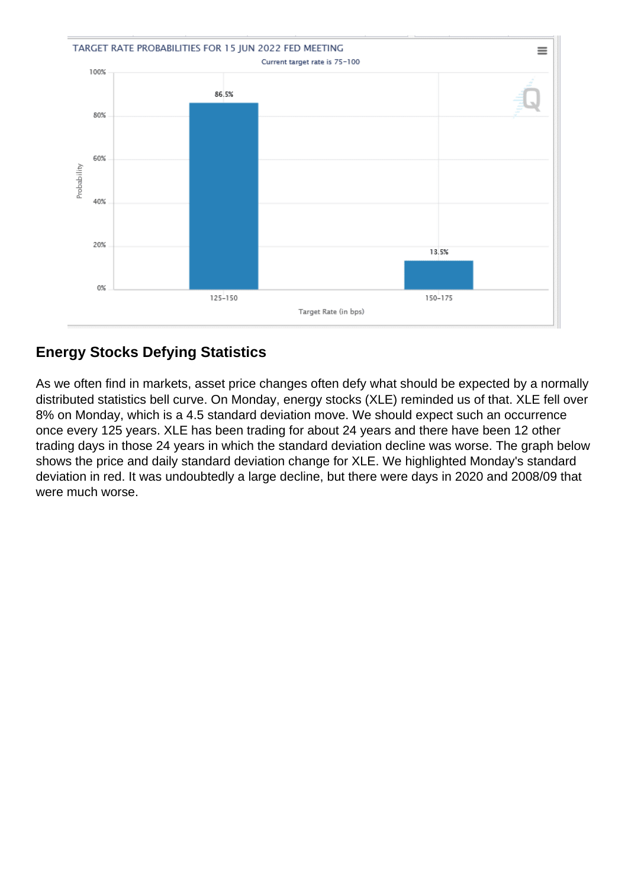# Energy Stocks Defying Statistics

As we often find in markets, asset price changes often defy what should be expected by a normally distributed statistics bell curve. On Monday, energy stocks (XLE) reminded us of that. XLE fell over 8% on Monday, which is a 4.5 standard deviation move. We should expect such an occurrence once every 125 years. XLE has been trading for about 24 years and there have been 12 other trading days in those 24 years in which the standard deviation decline was worse. The graph below shows the price and daily standard deviation change for XLE. We highlighted Monday's standard deviation in red. It was undoubtedly a large decline, but there were days in 2020 and 2008/09 that were much worse.